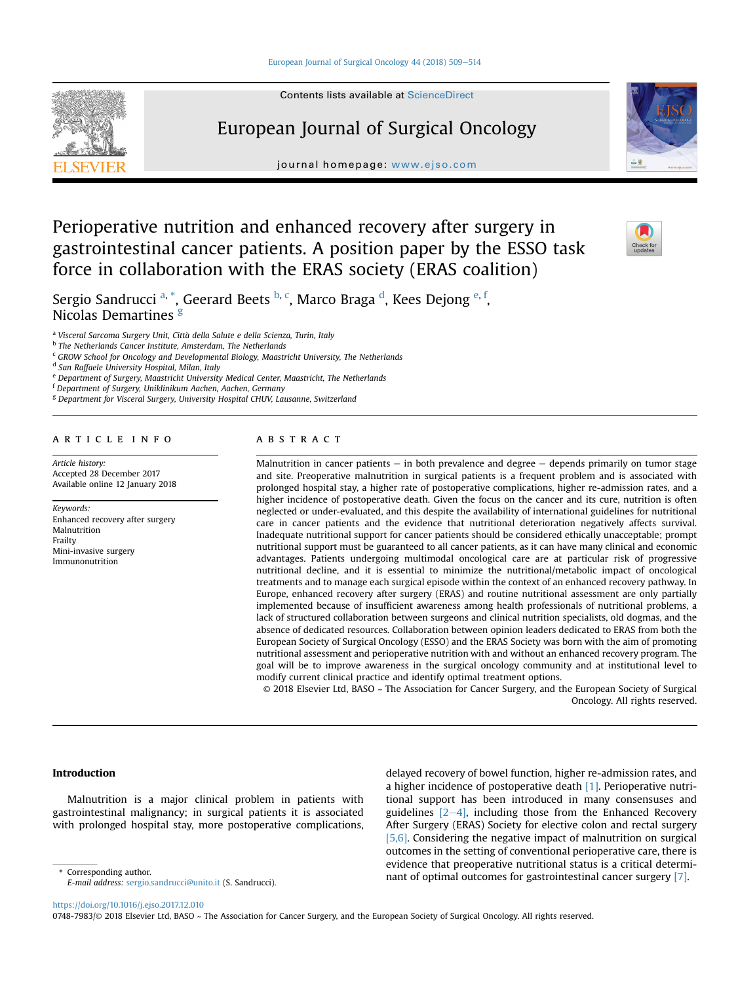Contents lists available at ScienceDirect

# European Journal of Surgical Oncology

journal homepage: <www.ejso.com>



# Perioperative nutrition and enhanced recovery after surgery in gastrointestinal cancer patients. A position paper by the ESSO task force in collaboration with the ERAS society (ERAS coalition)



Sergio Sandrucci <sup>a, \*</sup>, Geerard Beets <sup>b, c</sup>, Marco Braga <sup>d</sup>, Kees Dejong <sup>e, f</sup>, Nicolas Demartines<sup>g</sup>

<sup>a</sup> Visceral Sarcoma Surgery Unit, Città della Salute e della Scienza, Turin, Italy

**b** The Netherlands Cancer Institute, Amsterdam, The Netherlands

 $c$  GROW School for Oncology and Developmental Biology, Maastricht University, The Netherlands

<sup>d</sup> San Raffaele University Hospital, Milan, Italy

<sup>e</sup> Department of Surgery, Maastricht University Medical Center, Maastricht, The Netherlands

<sup>f</sup> Department of Surgery, Uniklinikum Aachen, Aachen, Germany

<sup>g</sup> Department for Visceral Surgery, University Hospital CHUV, Lausanne, Switzerland

# article info

Article history: Accepted 28 December 2017 Available online 12 January 2018

Keywords: Enhanced recovery after surgery Malnutrition Frailty Mini-invasive surgery Immunonutrition

# ABSTRACT

Malnutrition in cancer patients  $-$  in both prevalence and degree  $-$  depends primarily on tumor stage and site. Preoperative malnutrition in surgical patients is a frequent problem and is associated with prolonged hospital stay, a higher rate of postoperative complications, higher re-admission rates, and a higher incidence of postoperative death. Given the focus on the cancer and its cure, nutrition is often neglected or under-evaluated, and this despite the availability of international guidelines for nutritional care in cancer patients and the evidence that nutritional deterioration negatively affects survival. Inadequate nutritional support for cancer patients should be considered ethically unacceptable; prompt nutritional support must be guaranteed to all cancer patients, as it can have many clinical and economic advantages. Patients undergoing multimodal oncological care are at particular risk of progressive nutritional decline, and it is essential to minimize the nutritional/metabolic impact of oncological treatments and to manage each surgical episode within the context of an enhanced recovery pathway. In Europe, enhanced recovery after surgery (ERAS) and routine nutritional assessment are only partially implemented because of insufficient awareness among health professionals of nutritional problems, a lack of structured collaboration between surgeons and clinical nutrition specialists, old dogmas, and the absence of dedicated resources. Collaboration between opinion leaders dedicated to ERAS from both the European Society of Surgical Oncology (ESSO) and the ERAS Society was born with the aim of promoting nutritional assessment and perioperative nutrition with and without an enhanced recovery program. The goal will be to improve awareness in the surgical oncology community and at institutional level to modify current clinical practice and identify optimal treatment options.

© 2018 Elsevier Ltd, BASO ~ The Association for Cancer Surgery, and the European Society of Surgical Oncology. All rights reserved.

# Introduction

Malnutrition is a major clinical problem in patients with gastrointestinal malignancy; in surgical patients it is associated with prolonged hospital stay, more postoperative complications,

delayed recovery of bowel function, higher re-admission rates, and a higher incidence of postoperative death [\[1\]](#page-3-0). Perioperative nutritional support has been introduced in many consensuses and guidelines  $[2-4]$  $[2-4]$  $[2-4]$ , including those from the Enhanced Recovery After Surgery (ERAS) Society for elective colon and rectal surgery [\[5,6\].](#page-3-0) Considering the negative impact of malnutrition on surgical outcomes in the setting of conventional perioperative care, there is evidence that preoperative nutritional status is a critical determi-Corresponding author.<br>
E mail address: corrisponding authority is (S. Sandwici).<br>
Corresponding authority is (S. Sandwici).<br>
Corresponding authority is (C. Sandwici).

E-mail address: [sergio.sandrucci@unito.it](mailto:sergio.sandrucci@unito.it) (S. Sandrucci).

<https://doi.org/10.1016/j.ejso.2017.12.010>

0748-7983/© 2018 Elsevier Ltd, BASO ~ The Association for Cancer Surgery, and the European Society of Surgical Oncology. All rights reserved.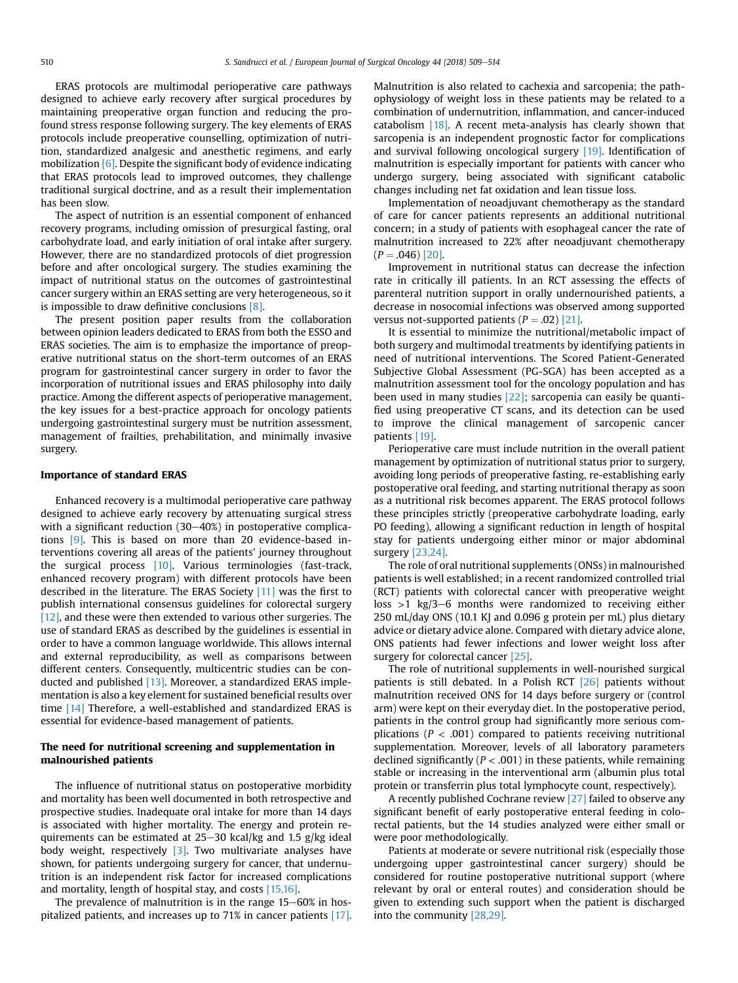ERAS protocols are multimodal perioperative care pathways designed to achieve early recovery after surgical procedures by maintaining preoperative organ function and reducing the profound stress response following surgery. The key elements of ERAS protocols include preoperative counselling, optimization of nutrition, standardized analgesic and anesthetic regimens, and early mobilization  $[6]$ . Despite the significant body of evidence indicating that ERAS protocols lead to improved outcomes, they challenge traditional surgical doctrine, and as a result their implementation has been slow.

The aspect of nutrition is an essential component of enhanced recovery programs, including omission of presurgical fasting, oral carbohydrate load, and early initiation of oral intake after surgery. However, there are no standardized protocols of diet progression before and after oncological surgery. The studies examining the impact of nutritional status on the outcomes of gastrointestinal cancer surgery within an ERAS setting are very heterogeneous, so it is impossible to draw definitive conclusions  $[8]$ .

The present position paper results from the collaboration between opinion leaders dedicated to ERAS from both the ESSO and ERAS societies. The aim is to emphasize the importance of preoperative nutritional status on the short-term outcomes of an ERAS program for gastrointestinal cancer surgery in order to favor the incorporation of nutritional issues and ERAS philosophy into daily practice. Among the different aspects of perioperative management, the key issues for a best-practice approach for oncology patients undergoing gastrointestinal surgery must be nutrition assessment, management of frailties, prehabilitation, and minimally invasive surgery.

#### Importance of standard ERAS

Enhanced recovery is a multimodal perioperative care pathway designed to achieve early recovery by attenuating surgical stress with a significant reduction  $(30-40%)$  in postoperative complications [\[9\]](#page-4-0). This is based on more than 20 evidence-based interventions covering all areas of the patients' journey throughout the surgical process [\[10\]](#page-4-0). Various terminologies (fast-track, enhanced recovery program) with different protocols have been described in the literature. The ERAS Society [\[11\]](#page-4-0) was the first to publish international consensus guidelines for colorectal surgery [\[12\],](#page-4-0) and these were then extended to various other surgeries. The use of standard ERAS as described by the guidelines is essential in order to have a common language worldwide. This allows internal and external reproducibility, as well as comparisons between different centers. Consequently, multicentric studies can be conducted and published [\[13\].](#page-4-0) Moreover, a standardized ERAS implementation is also a key element for sustained beneficial results over time [\[14\]](#page-4-0) Therefore, a well-established and standardized ERAS is essential for evidence-based management of patients.

# The need for nutritional screening and supplementation in malnourished patients

The influence of nutritional status on postoperative morbidity and mortality has been well documented in both retrospective and prospective studies. Inadequate oral intake for more than 14 days is associated with higher mortality. The energy and protein requirements can be estimated at  $25-30$  kcal/kg and 1.5 g/kg ideal body weight, respectively  $[3]$ . Two multivariate analyses have shown, for patients undergoing surgery for cancer, that undernutrition is an independent risk factor for increased complications and mortality, length of hospital stay, and costs [\[15,16\]](#page-4-0).

The prevalence of malnutrition is in the range  $15-60\%$  in hospitalized patients, and increases up to 71% in cancer patients [\[17\].](#page-4-0) Malnutrition is also related to cachexia and sarcopenia; the pathophysiology of weight loss in these patients may be related to a combination of undernutrition, inflammation, and cancer-induced catabolism [\[18\].](#page-4-0) A recent meta-analysis has clearly shown that sarcopenia is an independent prognostic factor for complications and survival following oncological surgery [\[19\].](#page-4-0) Identification of malnutrition is especially important for patients with cancer who undergo surgery, being associated with significant catabolic changes including net fat oxidation and lean tissue loss.

Implementation of neoadjuvant chemotherapy as the standard of care for cancer patients represents an additional nutritional concern; in a study of patients with esophageal cancer the rate of malnutrition increased to 22% after neoadjuvant chemotherapy  $(P = .046)$  [\[20\].](#page-4-0)

Improvement in nutritional status can decrease the infection rate in critically ill patients. In an RCT assessing the effects of parenteral nutrition support in orally undernourished patients, a decrease in nosocomial infections was observed among supported versus not-supported patients  $(P = .02)$  [\[21\]](#page-4-0).

It is essential to minimize the nutritional/metabolic impact of both surgery and multimodal treatments by identifying patients in need of nutritional interventions. The Scored Patient-Generated Subjective Global Assessment (PG-SGA) has been accepted as a malnutrition assessment tool for the oncology population and has been used in many studies [\[22\]](#page-4-0); sarcopenia can easily be quantified using preoperative CT scans, and its detection can be used to improve the clinical management of sarcopenic cancer patients [\[19\]](#page-4-0).

Perioperative care must include nutrition in the overall patient management by optimization of nutritional status prior to surgery, avoiding long periods of preoperative fasting, re-establishing early postoperative oral feeding, and starting nutritional therapy as soon as a nutritional risk becomes apparent. The ERAS protocol follows these principles strictly (preoperative carbohydrate loading, early PO feeding), allowing a significant reduction in length of hospital stay for patients undergoing either minor or major abdominal surgery [\[23,24\]](#page-4-0).

The role of oral nutritional supplements (ONSs) in malnourished patients is well established; in a recent randomized controlled trial (RCT) patients with colorectal cancer with preoperative weight loss  $>1$  kg/3-6 months were randomized to receiving either 250 mL/day ONS (10.1 KJ and 0.096 g protein per mL) plus dietary advice or dietary advice alone. Compared with dietary advice alone, ONS patients had fewer infections and lower weight loss after surgery for colorectal cancer [\[25\].](#page-4-0)

The role of nutritional supplements in well-nourished surgical patients is still debated. In a Polish RCT [\[26\]](#page-4-0) patients without malnutrition received ONS for 14 days before surgery or (control arm) were kept on their everyday diet. In the postoperative period, patients in the control group had significantly more serious complications ( $P < .001$ ) compared to patients receiving nutritional supplementation. Moreover, levels of all laboratory parameters declined significantly ( $P < .001$ ) in these patients, while remaining stable or increasing in the interventional arm (albumin plus total protein or transferrin plus total lymphocyte count, respectively).

A recently published Cochrane review [\[27\]](#page-4-0) failed to observe any significant benefit of early postoperative enteral feeding in colorectal patients, but the 14 studies analyzed were either small or were poor methodologically.

Patients at moderate or severe nutritional risk (especially those undergoing upper gastrointestinal cancer surgery) should be considered for routine postoperative nutritional support (where relevant by oral or enteral routes) and consideration should be given to extending such support when the patient is discharged into the community [\[28,29\].](#page-4-0)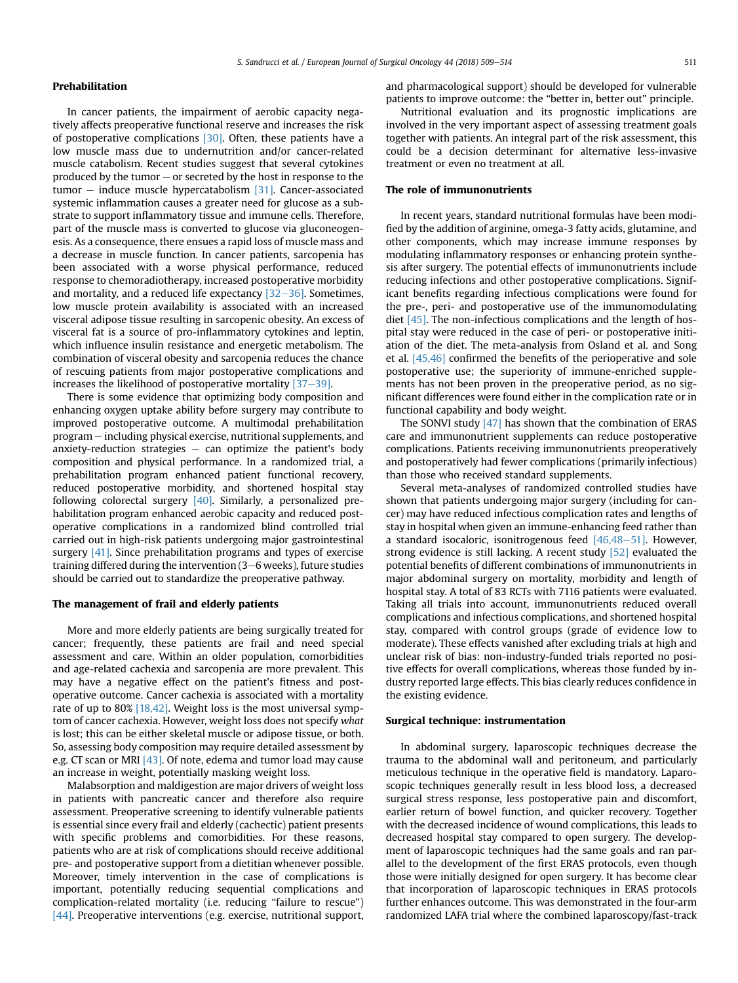In cancer patients, the impairment of aerobic capacity negatively affects preoperative functional reserve and increases the risk of postoperative complications [\[30\]](#page-4-0). Often, these patients have a low muscle mass due to undernutrition and/or cancer-related muscle catabolism. Recent studies suggest that several cytokines produced by the tumor  $-$  or secreted by the host in response to the tumor  $-$  induce muscle hypercatabolism [\[31\].](#page-4-0) Cancer-associated systemic inflammation causes a greater need for glucose as a substrate to support inflammatory tissue and immune cells. Therefore, part of the muscle mass is converted to glucose via gluconeogenesis. As a consequence, there ensues a rapid loss of muscle mass and a decrease in muscle function. In cancer patients, sarcopenia has been associated with a worse physical performance, reduced response to chemoradiotherapy, increased postoperative morbidity and mortality, and a reduced life expectancy  $[32-36]$  $[32-36]$  $[32-36]$ . Sometimes, low muscle protein availability is associated with an increased visceral adipose tissue resulting in sarcopenic obesity. An excess of visceral fat is a source of pro-inflammatory cytokines and leptin, which influence insulin resistance and energetic metabolism. The combination of visceral obesity and sarcopenia reduces the chance of rescuing patients from major postoperative complications and increases the likelihood of postoperative mortality  $[37-39]$  $[37-39]$ .

There is some evidence that optimizing body composition and enhancing oxygen uptake ability before surgery may contribute to improved postoperative outcome. A multimodal prehabilitation  $program - including physical exercise, nutritional supplements, and$ anxiety-reduction strategies  $-$  can optimize the patient's body composition and physical performance. In a randomized trial, a prehabilitation program enhanced patient functional recovery, reduced postoperative morbidity, and shortened hospital stay following colorectal surgery  $[40]$ . Similarly, a personalized prehabilitation program enhanced aerobic capacity and reduced postoperative complications in a randomized blind controlled trial carried out in high-risk patients undergoing major gastrointestinal surgery [\[41\]](#page-4-0). Since prehabilitation programs and types of exercise training differed during the intervention  $(3-6$  weeks), future studies should be carried out to standardize the preoperative pathway.

#### The management of frail and elderly patients

More and more elderly patients are being surgically treated for cancer; frequently, these patients are frail and need special assessment and care. Within an older population, comorbidities and age-related cachexia and sarcopenia are more prevalent. This may have a negative effect on the patient's fitness and postoperative outcome. Cancer cachexia is associated with a mortality rate of up to 80% [\[18,42\].](#page-4-0) Weight loss is the most universal symptom of cancer cachexia. However, weight loss does not specify what is lost; this can be either skeletal muscle or adipose tissue, or both. So, assessing body composition may require detailed assessment by e.g. CT scan or MRI [\[43\].](#page-4-0) Of note, edema and tumor load may cause an increase in weight, potentially masking weight loss.

Malabsorption and maldigestion are major drivers of weight loss in patients with pancreatic cancer and therefore also require assessment. Preoperative screening to identify vulnerable patients is essential since every frail and elderly (cachectic) patient presents with specific problems and comorbidities. For these reasons, patients who are at risk of complications should receive additional pre- and postoperative support from a dietitian whenever possible. Moreover, timely intervention in the case of complications is important, potentially reducing sequential complications and complication-related mortality (i.e. reducing "failure to rescue") [\[44\]](#page-4-0). Preoperative interventions (e.g. exercise, nutritional support, and pharmacological support) should be developed for vulnerable patients to improve outcome: the "better in, better out" principle.

Nutritional evaluation and its prognostic implications are involved in the very important aspect of assessing treatment goals together with patients. An integral part of the risk assessment, this could be a decision determinant for alternative less-invasive treatment or even no treatment at all.

### The role of immunonutrients

In recent years, standard nutritional formulas have been modified by the addition of arginine, omega-3 fatty acids, glutamine, and other components, which may increase immune responses by modulating inflammatory responses or enhancing protein synthesis after surgery. The potential effects of immunonutrients include reducing infections and other postoperative complications. Significant benefits regarding infectious complications were found for the pre-, peri- and postoperative use of the immunomodulating diet [\[45\]](#page-4-0). The non-infectious complications and the length of hospital stay were reduced in the case of peri- or postoperative initiation of the diet. The meta-analysis from Osland et al. and Song et al. [\[45,46\]](#page-4-0) confirmed the benefits of the perioperative and sole postoperative use; the superiority of immune-enriched supplements has not been proven in the preoperative period, as no significant differences were found either in the complication rate or in functional capability and body weight.

The SONVI study [\[47\]](#page-4-0) has shown that the combination of ERAS care and immunonutrient supplements can reduce postoperative complications. Patients receiving immunonutrients preoperatively and postoperatively had fewer complications (primarily infectious) than those who received standard supplements.

Several meta-analyses of randomized controlled studies have shown that patients undergoing major surgery (including for cancer) may have reduced infectious complication rates and lengths of stay in hospital when given an immune-enhancing feed rather than a standard isocaloric, isonitrogenous feed  $[46,48-51]$  $[46,48-51]$  $[46,48-51]$ . However, strong evidence is still lacking. A recent study [\[52\]](#page-4-0) evaluated the potential benefits of different combinations of immunonutrients in major abdominal surgery on mortality, morbidity and length of hospital stay. A total of 83 RCTs with 7116 patients were evaluated. Taking all trials into account, immunonutrients reduced overall complications and infectious complications, and shortened hospital stay, compared with control groups (grade of evidence low to moderate). These effects vanished after excluding trials at high and unclear risk of bias: non-industry-funded trials reported no positive effects for overall complications, whereas those funded by industry reported large effects. This bias clearly reduces confidence in the existing evidence.

#### Surgical technique: instrumentation

In abdominal surgery, laparoscopic techniques decrease the trauma to the abdominal wall and peritoneum, and particularly meticulous technique in the operative field is mandatory. Laparoscopic techniques generally result in less blood loss, a decreased surgical stress response, less postoperative pain and discomfort, earlier return of bowel function, and quicker recovery. Together with the decreased incidence of wound complications, this leads to decreased hospital stay compared to open surgery. The development of laparoscopic techniques had the same goals and ran parallel to the development of the first ERAS protocols, even though those were initially designed for open surgery. It has become clear that incorporation of laparoscopic techniques in ERAS protocols further enhances outcome. This was demonstrated in the four-arm randomized LAFA trial where the combined laparoscopy/fast-track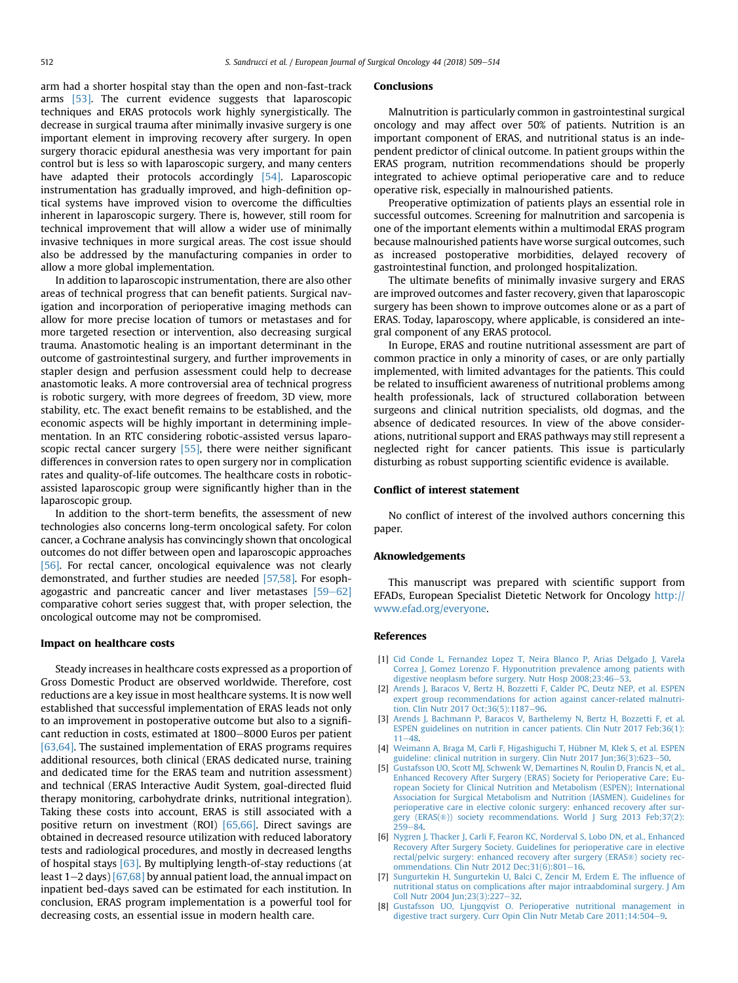<span id="page-3-0"></span>arm had a shorter hospital stay than the open and non-fast-track arms [\[53\]](#page-4-0). The current evidence suggests that laparoscopic techniques and ERAS protocols work highly synergistically. The decrease in surgical trauma after minimally invasive surgery is one important element in improving recovery after surgery. In open surgery thoracic epidural anesthesia was very important for pain control but is less so with laparoscopic surgery, and many centers have adapted their protocols accordingly [\[54\].](#page-4-0) Laparoscopic instrumentation has gradually improved, and high-definition optical systems have improved vision to overcome the difficulties inherent in laparoscopic surgery. There is, however, still room for technical improvement that will allow a wider use of minimally invasive techniques in more surgical areas. The cost issue should also be addressed by the manufacturing companies in order to allow a more global implementation.

In addition to laparoscopic instrumentation, there are also other areas of technical progress that can benefit patients. Surgical navigation and incorporation of perioperative imaging methods can allow for more precise location of tumors or metastases and for more targeted resection or intervention, also decreasing surgical trauma. Anastomotic healing is an important determinant in the outcome of gastrointestinal surgery, and further improvements in stapler design and perfusion assessment could help to decrease anastomotic leaks. A more controversial area of technical progress is robotic surgery, with more degrees of freedom, 3D view, more stability, etc. The exact benefit remains to be established, and the economic aspects will be highly important in determining implementation. In an RTC considering robotic-assisted versus laparo-scopic rectal cancer surgery [\[55\]](#page-4-0), there were neither significant differences in conversion rates to open surgery nor in complication rates and quality-of-life outcomes. The healthcare costs in roboticassisted laparoscopic group were significantly higher than in the laparoscopic group.

In addition to the short-term benefits, the assessment of new technologies also concerns long-term oncological safety. For colon cancer, a Cochrane analysis has convincingly shown that oncological outcomes do not differ between open and laparoscopic approaches [\[56\].](#page-4-0) For rectal cancer, oncological equivalence was not clearly demonstrated, and further studies are needed [\[57,58\].](#page-4-0) For esophagogastric and pancreatic cancer and liver metastases  $[59-62]$  $[59-62]$  $[59-62]$ comparative cohort series suggest that, with proper selection, the oncological outcome may not be compromised.

#### Impact on healthcare costs

Steady increases in healthcare costs expressed as a proportion of Gross Domestic Product are observed worldwide. Therefore, cost reductions are a key issue in most healthcare systems. It is now well established that successful implementation of ERAS leads not only to an improvement in postoperative outcome but also to a significant reduction in costs, estimated at 1800-8000 Euros per patient [\[63,64\].](#page-5-0) The sustained implementation of ERAS programs requires additional resources, both clinical (ERAS dedicated nurse, training and dedicated time for the ERAS team and nutrition assessment) and technical (ERAS Interactive Audit System, goal-directed fluid therapy monitoring, carbohydrate drinks, nutritional integration). Taking these costs into account, ERAS is still associated with a positive return on investment (ROI) [\[65,66\].](#page-5-0) Direct savings are obtained in decreased resource utilization with reduced laboratory tests and radiological procedures, and mostly in decreased lengths of hospital stays  $[63]$ . By multiplying length-of-stay reductions (at least  $1-2$  days) [\[67,68\]](#page-5-0) by annual patient load, the annual impact on inpatient bed-days saved can be estimated for each institution. In conclusion, ERAS program implementation is a powerful tool for decreasing costs, an essential issue in modern health care.

#### Conclusions

Malnutrition is particularly common in gastrointestinal surgical oncology and may affect over 50% of patients. Nutrition is an important component of ERAS, and nutritional status is an independent predictor of clinical outcome. In patient groups within the ERAS program, nutrition recommendations should be properly integrated to achieve optimal perioperative care and to reduce operative risk, especially in malnourished patients.

Preoperative optimization of patients plays an essential role in successful outcomes. Screening for malnutrition and sarcopenia is one of the important elements within a multimodal ERAS program because malnourished patients have worse surgical outcomes, such as increased postoperative morbidities, delayed recovery of gastrointestinal function, and prolonged hospitalization.

The ultimate benefits of minimally invasive surgery and ERAS are improved outcomes and faster recovery, given that laparoscopic surgery has been shown to improve outcomes alone or as a part of ERAS. Today, laparoscopy, where applicable, is considered an integral component of any ERAS protocol.

In Europe, ERAS and routine nutritional assessment are part of common practice in only a minority of cases, or are only partially implemented, with limited advantages for the patients. This could be related to insufficient awareness of nutritional problems among health professionals, lack of structured collaboration between surgeons and clinical nutrition specialists, old dogmas, and the absence of dedicated resources. In view of the above considerations, nutritional support and ERAS pathways may still represent a neglected right for cancer patients. This issue is particularly disturbing as robust supporting scientific evidence is available.

#### Conflict of interest statement

No conflict of interest of the involved authors concerning this paper.

#### Aknowledgements

This manuscript was prepared with scientific support from EFADs, European Specialist Dietetic Network for Oncology [http://](http://www.efad.org/everyone) [www.efad.org/everyone.](http://www.efad.org/everyone)

## References

- [1] [Cid Conde L, Fernandez Lopez T, Neira Blanco P, Arias Delgado J, Varela](http://refhub.elsevier.com/S0748-7983(18)30041-6/sref1) [Correa J, Gomez Lorenzo F. Hyponutrition prevalence among patients with](http://refhub.elsevier.com/S0748-7983(18)30041-6/sref1) [digestive neoplasm before surgery. Nutr Hosp 2008;23:46](http://refhub.elsevier.com/S0748-7983(18)30041-6/sref1)-[53](http://refhub.elsevier.com/S0748-7983(18)30041-6/sref1).
- [2] [Arends J, Baracos V, Bertz H, Bozzetti F, Calder PC, Deutz NEP, et al. ESPEN](http://refhub.elsevier.com/S0748-7983(18)30041-6/sref2) [expert group recommendations for action against cancer-related malnutri-](http://refhub.elsevier.com/S0748-7983(18)30041-6/sref2)tion. Clin Nutr 2017 Oct:36(5):1187-[96.](http://refhub.elsevier.com/S0748-7983(18)30041-6/sref2)
- [3] [Arends J, Bachmann P, Baracos V, Barthelemy N, Bertz H, Bozzetti F, et al.](http://refhub.elsevier.com/S0748-7983(18)30041-6/sref3) [ESPEN guidelines on nutrition in cancer patients. Clin Nutr 2017 Feb;36\(1\):](http://refhub.elsevier.com/S0748-7983(18)30041-6/sref3)  $11 - 48$  $11 - 48$
- [4] [Weimann A, Braga M, Carli F, Higashiguchi T, Hübner M, Klek S, et al. ESPEN](http://refhub.elsevier.com/S0748-7983(18)30041-6/sref4) [guideline: clinical nutrition in surgery. Clin Nutr 2017 Jun;36\(3\):623](http://refhub.elsevier.com/S0748-7983(18)30041-6/sref4)-[50](http://refhub.elsevier.com/S0748-7983(18)30041-6/sref4).
- [5] [Gustafsson UO, Scott MJ, Schwenk W, Demartines N, Roulin D, Francis N, et al.,](http://refhub.elsevier.com/S0748-7983(18)30041-6/sref5) [Enhanced Recovery After Surgery \(ERAS\) Society for Perioperative Care; Eu](http://refhub.elsevier.com/S0748-7983(18)30041-6/sref5)[ropean Society for Clinical Nutrition and Metabolism \(ESPEN\); International](http://refhub.elsevier.com/S0748-7983(18)30041-6/sref5) [Association for Surgical Metabolism and Nutrition \(IASMEN\). Guidelines for](http://refhub.elsevier.com/S0748-7983(18)30041-6/sref5) [perioperative care in elective colonic surgery: enhanced recovery after sur](http://refhub.elsevier.com/S0748-7983(18)30041-6/sref5)gery (ERAS(®[\)\) society recommendations. World J Surg 2013 Feb;37\(2\):](http://refhub.elsevier.com/S0748-7983(18)30041-6/sref5)  $759 - 84$
- [6] [Nygren J, Thacker J, Carli F, Fearon KC, Norderval S, Lobo DN, et al., Enhanced](http://refhub.elsevier.com/S0748-7983(18)30041-6/sref6) [Recovery After Surgery Society. Guidelines for perioperative care in elective](http://refhub.elsevier.com/S0748-7983(18)30041-6/sref6) [rectal/pelvic surgery: enhanced recovery after surgery \(ERAS](http://refhub.elsevier.com/S0748-7983(18)30041-6/sref6)®) society recommendations. Clin Nutr 2012 Dec; 31(6):  $801-16$ .
- [Sungurtekin H, Sungurtekin U, Balci C, Zencir M, Erdem E. The in](http://refhub.elsevier.com/S0748-7983(18)30041-6/sref7)fluence of [nutritional status on complications after major intraabdominal surgery. J Am](http://refhub.elsevier.com/S0748-7983(18)30041-6/sref7) Coll Nutr 2004 Jun; 23(3): 227-[32.](http://refhub.elsevier.com/S0748-7983(18)30041-6/sref7)
- [8] [Gustafsson UO, Ljungqvist O. Perioperative nutritional management in](http://refhub.elsevier.com/S0748-7983(18)30041-6/sref8) [digestive tract surgery. Curr Opin Clin Nutr Metab Care 2011;14:504](http://refhub.elsevier.com/S0748-7983(18)30041-6/sref8)-[9.](http://refhub.elsevier.com/S0748-7983(18)30041-6/sref8)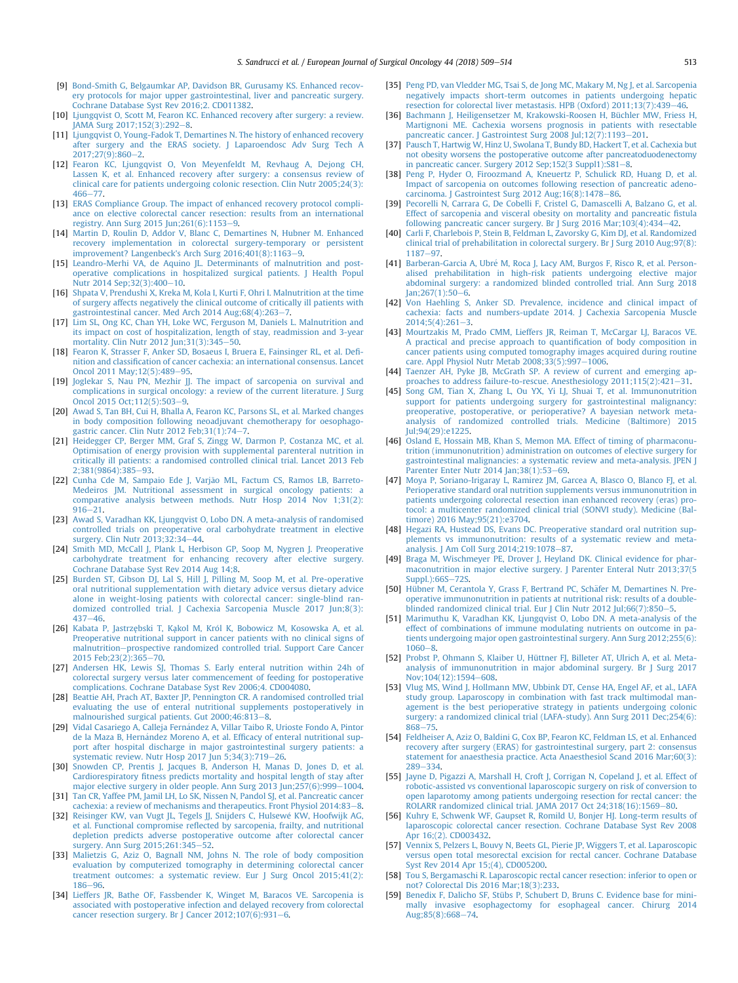- <span id="page-4-0"></span>[9] [Bond-Smith G, Belgaumkar AP, Davidson BR, Gurusamy KS. Enhanced recov](http://refhub.elsevier.com/S0748-7983(18)30041-6/sref9)[ery protocols for major upper gastrointestinal, liver and pancreatic surgery.](http://refhub.elsevier.com/S0748-7983(18)30041-6/sref9) [Cochrane Database Syst Rev 2016;2. CD011382.](http://refhub.elsevier.com/S0748-7983(18)30041-6/sref9)
- [10] [Ljungqvist O, Scott M, Fearon KC. Enhanced recovery after surgery: a review.](http://refhub.elsevier.com/S0748-7983(18)30041-6/sref10)  $JAMA$  Surg 2017;152(3):292-[8.](http://refhub.elsevier.com/S0748-7983(18)30041-6/sref10)
- [11] [Ljungqvist O, Young-Fadok T, Demartines N. The history of enhanced recovery](http://refhub.elsevier.com/S0748-7983(18)30041-6/sref11) [after surgery and the ERAS society. J Laparoendosc Adv Surg Tech A](http://refhub.elsevier.com/S0748-7983(18)30041-6/sref11) 2017:27(9):860-[2.](http://refhub.elsevier.com/S0748-7983(18)30041-6/sref11)
- [12] [Fearon KC, Ljungqvist O, Von Meyenfeldt M, Revhaug A, Dejong CH,](http://refhub.elsevier.com/S0748-7983(18)30041-6/sref12) [Lassen K, et al. Enhanced recovery after surgery: a consensus review of](http://refhub.elsevier.com/S0748-7983(18)30041-6/sref12) [clinical care for patients undergoing colonic resection. Clin Nutr 2005;24\(3\):](http://refhub.elsevier.com/S0748-7983(18)30041-6/sref12) [466](http://refhub.elsevier.com/S0748-7983(18)30041-6/sref12)-77
- [13] [ERAS Compliance Group. The impact of enhanced recovery protocol compli](http://refhub.elsevier.com/S0748-7983(18)30041-6/sref13)[ance on elective colorectal cancer resection: results from an international](http://refhub.elsevier.com/S0748-7983(18)30041-6/sref13) registry. Ann Surg 2015 Jun: 261(6): 1153-[9](http://refhub.elsevier.com/S0748-7983(18)30041-6/sref13).
- [14] [Martin D, Roulin D, Addor V, Blanc C, Demartines N, Hubner M. Enhanced](http://refhub.elsevier.com/S0748-7983(18)30041-6/sref14) [recovery implementation in colorectal surgery-temporary or persistent](http://refhub.elsevier.com/S0748-7983(18)30041-6/sref14)  $improvement?$  Langenbeck's Arch Surg  $2016;401(8):1163-9$  $2016;401(8):1163-9$ .
- [15] [Leandro-Merhi VA, de Aquino JL. Determinants of malnutrition and post](http://refhub.elsevier.com/S0748-7983(18)30041-6/sref15)[operative complications in hospitalized surgical patients. J Health Popul](http://refhub.elsevier.com/S0748-7983(18)30041-6/sref15) Nutr 2014 Sep:32(3):400-10
- [16] [Shpata V, Prendushi X, Kreka M, Kola I, Kurti F, Ohri I. Malnutrition at the time](http://refhub.elsevier.com/S0748-7983(18)30041-6/sref16) [of surgery affects negatively the clinical outcome of critically ill patients with](http://refhub.elsevier.com/S0748-7983(18)30041-6/sref16) gastrointestinal cancer. Med Arch 2014 Aug; $68(4)$ : $263-7$ .
- [17] [Lim SL, Ong KC, Chan YH, Loke WC, Ferguson M, Daniels L. Malnutrition and](http://refhub.elsevier.com/S0748-7983(18)30041-6/sref17) [its impact on cost of hospitalization, length of stay, readmission and 3-year](http://refhub.elsevier.com/S0748-7983(18)30041-6/sref17) [mortality. Clin Nutr 2012 Jun;31\(3\):345](http://refhub.elsevier.com/S0748-7983(18)30041-6/sref17)-[50.](http://refhub.elsevier.com/S0748-7983(18)30041-6/sref17)
- [18] [Fearon K, Strasser F, Anker SD, Bosaeus I, Bruera E, Fainsinger RL, et al. De](http://refhub.elsevier.com/S0748-7983(18)30041-6/sref18)finition and classifi[cation of cancer cachexia: an international consensus. Lancet](http://refhub.elsevier.com/S0748-7983(18)30041-6/sref18) Oncol 2011 May; 12(5): 489-[95.](http://refhub.elsevier.com/S0748-7983(18)30041-6/sref18)
- [19] [Joglekar S, Nau PN, Mezhir JJ. The impact of sarcopenia on survival and](http://refhub.elsevier.com/S0748-7983(18)30041-6/sref19) [complications in surgical oncology: a review of the current literature. J Surg](http://refhub.elsevier.com/S0748-7983(18)30041-6/sref19) Oncol 2015 Oct:112(5):503-[9.](http://refhub.elsevier.com/S0748-7983(18)30041-6/sref19)
- [20] [Awad S, Tan BH, Cui H, Bhalla A, Fearon KC, Parsons SL, et al. Marked changes](http://refhub.elsevier.com/S0748-7983(18)30041-6/sref20) [in body composition following neoadjuvant chemotherapy for oesophago](http://refhub.elsevier.com/S0748-7983(18)30041-6/sref20)[gastric cancer. Clin Nutr 2012 Feb;31\(1\):74](http://refhub.elsevier.com/S0748-7983(18)30041-6/sref20)-[7.](http://refhub.elsevier.com/S0748-7983(18)30041-6/sref20)
- [21] [Heidegger CP, Berger MM, Graf S, Zingg W, Darmon P, Costanza MC, et al.](http://refhub.elsevier.com/S0748-7983(18)30041-6/sref21) [Optimisation of energy provision with supplemental parenteral nutrition in](http://refhub.elsevier.com/S0748-7983(18)30041-6/sref21) [critically ill patients: a randomised controlled clinical trial. Lancet 2013 Feb](http://refhub.elsevier.com/S0748-7983(18)30041-6/sref21) 2:381(9864):385-[93.](http://refhub.elsevier.com/S0748-7983(18)30041-6/sref21)
- [22] [Cunha Cde M, Sampaio Ede J, Varj](http://refhub.elsevier.com/S0748-7983(18)30041-6/sref22)ã[o ML, Factum CS, Ramos LB, Barreto-](http://refhub.elsevier.com/S0748-7983(18)30041-6/sref22)[Medeiros JM. Nutritional assessment in surgical oncology patients: a](http://refhub.elsevier.com/S0748-7983(18)30041-6/sref22) [comparative analysis between methods. Nutr Hosp 2014 Nov 1;31\(2\):](http://refhub.elsevier.com/S0748-7983(18)30041-6/sref22)  $916 - 21.$  $916 - 21.$  $916 - 21.$
- [23] [Awad S, Varadhan KK, Ljungqvist O, Lobo DN. A meta-analysis of randomised](http://refhub.elsevier.com/S0748-7983(18)30041-6/sref23) [controlled trials on preoperative oral carbohydrate treatment in elective](http://refhub.elsevier.com/S0748-7983(18)30041-6/sref23) [surgery. Clin Nutr 2013;32:34](http://refhub.elsevier.com/S0748-7983(18)30041-6/sref23)-[44.](http://refhub.elsevier.com/S0748-7983(18)30041-6/sref23)
- [24] [Smith MD, McCall J, Plank L, Herbison GP, Soop M, Nygren J. Preoperative](http://refhub.elsevier.com/S0748-7983(18)30041-6/sref24) [carbohydrate treatment for enhancing recovery after elective surgery.](http://refhub.elsevier.com/S0748-7983(18)30041-6/sref24) [Cochrane Database Syst Rev 2014 Aug 14;8.](http://refhub.elsevier.com/S0748-7983(18)30041-6/sref24)
- [25] [Burden ST, Gibson DJ, Lal S, Hill J, Pilling M, Soop M, et al. Pre-operative](http://refhub.elsevier.com/S0748-7983(18)30041-6/sref25) [oral nutritional supplementation with dietary advice versus dietary advice](http://refhub.elsevier.com/S0748-7983(18)30041-6/sref25) [alone in weight-losing patients with colorectal cancer: single-blind ran](http://refhub.elsevier.com/S0748-7983(18)30041-6/sref25)[domized controlled trial. J Cachexia Sarcopenia Muscle 2017 Jun;8\(3\):](http://refhub.elsevier.com/S0748-7983(18)30041-6/sref25)  $437 - 46.$  $437 - 46.$  $437 - 46.$  $437 - 46.$
- [26] Kabata P, Jastrzębski T, Kąkol M, Król K, Bobowicz M, Kosowska A, et al. [Preoperative nutritional support in cancer patients with no clinical signs of](http://refhub.elsevier.com/S0748-7983(18)30041-6/sref26) [malnutrition](http://refhub.elsevier.com/S0748-7983(18)30041-6/sref26)-[prospective randomized controlled trial. Support Care Cancer](http://refhub.elsevier.com/S0748-7983(18)30041-6/sref26) 2015 Feb; 23(2): 365-[70](http://refhub.elsevier.com/S0748-7983(18)30041-6/sref26).
- [27] [Andersen HK, Lewis SJ, Thomas S. Early enteral nutrition within 24h of](http://refhub.elsevier.com/S0748-7983(18)30041-6/sref27) [colorectal surgery versus later commencement of feeding for postoperative](http://refhub.elsevier.com/S0748-7983(18)30041-6/sref27) [complications. Cochrane Database Syst Rev 2006;4. CD004080](http://refhub.elsevier.com/S0748-7983(18)30041-6/sref27).
- [28] [Beattie AH, Prach AT, Baxter JP, Pennington CR. A randomised controlled trial](http://refhub.elsevier.com/S0748-7983(18)30041-6/sref28) [evaluating the use of enteral nutritional supplements postoperatively in](http://refhub.elsevier.com/S0748-7983(18)30041-6/sref28) [malnourished surgical patients. Gut 2000;46:813](http://refhub.elsevier.com/S0748-7983(18)30041-6/sref28)-[8](http://refhub.elsevier.com/S0748-7983(18)30041-6/sref28).
- [29] [Vidal Casariego A, Calleja Fern](http://refhub.elsevier.com/S0748-7983(18)30041-6/sref29)ández A, Villar Taibo R, Urioste Fondo A, Pintor [de la Maza B, Hern](http://refhub.elsevier.com/S0748-7983(18)30041-6/sref29)ández Moreno A, et al. Effi[cacy of enteral nutritional sup](http://refhub.elsevier.com/S0748-7983(18)30041-6/sref29)[port after hospital discharge in major gastrointestinal surgery patients: a](http://refhub.elsevier.com/S0748-7983(18)30041-6/sref29) [systematic review. Nutr Hosp 2017 Jun 5;34\(3\):719](http://refhub.elsevier.com/S0748-7983(18)30041-6/sref29)–[26](http://refhub.elsevier.com/S0748-7983(18)30041-6/sref29).
- [30] [Snowden CP, Prentis J, Jacques B, Anderson H, Manas D, Jones D, et al.](http://refhub.elsevier.com/S0748-7983(18)30041-6/sref30) Cardiorespiratory fi[tness predicts mortality and hospital length of stay after](http://refhub.elsevier.com/S0748-7983(18)30041-6/sref30) [major elective surgery in older people. Ann Surg 2013 Jun;257\(6\):999](http://refhub.elsevier.com/S0748-7983(18)30041-6/sref30)-[1004](http://refhub.elsevier.com/S0748-7983(18)30041-6/sref30).
- [31] [Tan CR, Yaffee PM, Jamil LH, Lo SK, Nissen N, Pandol SJ, et al. Pancreatic cancer](http://refhub.elsevier.com/S0748-7983(18)30041-6/sref31) [cachexia: a review of mechanisms and therapeutics. Front Physiol 2014:83](http://refhub.elsevier.com/S0748-7983(18)30041-6/sref31)-[8](http://refhub.elsevier.com/S0748-7983(18)30041-6/sref31).
- [32] Reisinger KW, van Vugt JL, Tegels JJ, Snijders C, Hulsewé KW, Hoofwijk AG, et al. Functional compromise refl[ected by sarcopenia, frailty, and nutritional](http://refhub.elsevier.com/S0748-7983(18)30041-6/sref32) [depletion predicts adverse postoperative outcome after colorectal cancer](http://refhub.elsevier.com/S0748-7983(18)30041-6/sref32) [surgery. Ann Surg 2015;261:345](http://refhub.elsevier.com/S0748-7983(18)30041-6/sref32)-[52.](http://refhub.elsevier.com/S0748-7983(18)30041-6/sref32)
- [33] [Malietzis G, Aziz O, Bagnall NM, Johns N. The role of body composition](http://refhub.elsevier.com/S0748-7983(18)30041-6/sref33) [evaluation by computerized tomography in determining colorectal cancer](http://refhub.elsevier.com/S0748-7983(18)30041-6/sref33) [treatment outcomes: a systematic review. Eur J Surg Oncol 2015;41\(2\):](http://refhub.elsevier.com/S0748-7983(18)30041-6/sref33) [186](http://refhub.elsevier.com/S0748-7983(18)30041-6/sref33)-[96.](http://refhub.elsevier.com/S0748-7983(18)30041-6/sref33)
- [34] [Lieffers JR, Bathe OF, Fassbender K, Winget M, Baracos VE. Sarcopenia is](http://refhub.elsevier.com/S0748-7983(18)30041-6/sref34) [associated with postoperative infection and delayed recovery from colorectal](http://refhub.elsevier.com/S0748-7983(18)30041-6/sref34) cancer resection surgery. Br J Cancer  $2012;107(6):931-6$ .
- [35] [Peng PD, van Vledder MG, Tsai S, de Jong MC, Makary M, Ng J, et al. Sarcopenia](http://refhub.elsevier.com/S0748-7983(18)30041-6/sref35) [negatively impacts short-term outcomes in patients undergoing hepatic](http://refhub.elsevier.com/S0748-7983(18)30041-6/sref35) resection for colorectal liver metastasis. HPB (Oxford)  $2011;13(7):439-46$  $2011;13(7):439-46$ .
- [36] [Bachmann J, Heiligensetzer M, Krakowski-Roosen H, Büchler MW, Friess H,](http://refhub.elsevier.com/S0748-7983(18)30041-6/sref36) [Martignoni ME. Cachexia worsens prognosis in patients with resectable](http://refhub.elsevier.com/S0748-7983(18)30041-6/sref36) [pancreatic cancer. J Gastrointest Surg 2008 Jul;12\(7\):1193](http://refhub.elsevier.com/S0748-7983(18)30041-6/sref36)-[201.](http://refhub.elsevier.com/S0748-7983(18)30041-6/sref36)
- [37] [Pausch T, Hartwig W, Hinz U, Swolana T, Bundy BD, Hackert T, et al. Cachexia but](http://refhub.elsevier.com/S0748-7983(18)30041-6/sref37) [not obesity worsens the postoperative outcome after pancreatoduodenectomy](http://refhub.elsevier.com/S0748-7983(18)30041-6/sref37) in pancreatic cancer. Surgery  $2012$  Sep:152(3 Suppl1):S81-[8.](http://refhub.elsevier.com/S0748-7983(18)30041-6/sref37)
- [38] [Peng P, Hyder O, Firoozmand A, Kneuertz P, Schulick RD, Huang D, et al.](http://refhub.elsevier.com/S0748-7983(18)30041-6/sref38) [Impact of sarcopenia on outcomes following resection of pancreatic adeno](http://refhub.elsevier.com/S0748-7983(18)30041-6/sref38)carcinoma. J Gastrointest Surg 2012 Aug; $16(8)$ : $1478-86$ .
- [39] [Pecorelli N, Carrara G, De Cobelli F, Cristel G, Damascelli A, Balzano G, et al.](http://refhub.elsevier.com/S0748-7983(18)30041-6/sref39) [Effect of sarcopenia and visceral obesity on mortality and pancreatic](http://refhub.elsevier.com/S0748-7983(18)30041-6/sref39) fistula following pancreatic cancer surgery. Br  $\overline{1}$  Surg 2016 Mar:103(4):434-[42.](http://refhub.elsevier.com/S0748-7983(18)30041-6/sref39)
- [40] [Carli F, Charlebois P, Stein B, Feldman L, Zavorsky G, Kim DJ, et al. Randomized](http://refhub.elsevier.com/S0748-7983(18)30041-6/sref40) [clinical trial of prehabilitation in colorectal surgery. Br J Surg 2010 Aug;97\(8\):](http://refhub.elsevier.com/S0748-7983(18)30041-6/sref40) [1187](http://refhub.elsevier.com/S0748-7983(18)30041-6/sref40)-[97.](http://refhub.elsevier.com/S0748-7983(18)30041-6/sref40)
- [41] [Barberan-Garcia A, Ubr](http://refhub.elsevier.com/S0748-7983(18)30041-6/sref41)é [M, Roca J, Lacy AM, Burgos F, Risco R, et al. Person](http://refhub.elsevier.com/S0748-7983(18)30041-6/sref41) [alised prehabilitation in high-risk patients undergoing elective major](http://refhub.elsevier.com/S0748-7983(18)30041-6/sref41) [abdominal surgery: a randomized blinded controlled trial. Ann Surg 2018](http://refhub.elsevier.com/S0748-7983(18)30041-6/sref41)  $Jan:267(1):50-6$  $Jan:267(1):50-6$  $Jan:267(1):50-6$
- [42] [Von Haehling S, Anker SD. Prevalence, incidence and clinical impact of](http://refhub.elsevier.com/S0748-7983(18)30041-6/sref42) [cachexia: facts and numbers-update 2014. J Cachexia Sarcopenia Muscle](http://refhub.elsevier.com/S0748-7983(18)30041-6/sref42)  $2014.5(4)$ :261-[3](http://refhub.elsevier.com/S0748-7983(18)30041-6/sref42).
- [43] [Mourtzakis M, Prado CMM, Lieffers JR, Reiman T, McCargar LJ, Baracos VE.](http://refhub.elsevier.com/S0748-7983(18)30041-6/sref43) [A practical and precise approach to quanti](http://refhub.elsevier.com/S0748-7983(18)30041-6/sref43)fication of body composition in [cancer patients using computed tomography images acquired during routine](http://refhub.elsevier.com/S0748-7983(18)30041-6/sref43) care. Appl Physiol Nutr Metab  $2008;33(5):997-1006$ .
- [44] [Taenzer AH, Pyke JB, McGrath SP. A review of current and emerging ap](http://refhub.elsevier.com/S0748-7983(18)30041-6/sref44)[proaches to address failure-to-rescue. Anesthesiology 2011;115\(2\):421](http://refhub.elsevier.com/S0748-7983(18)30041-6/sref44)-[31](http://refhub.elsevier.com/S0748-7983(18)30041-6/sref44).
- [45] [Song GM, Tian X, Zhang L, Ou YX, Yi LJ, Shuai T, et al. Immunonutrition](http://refhub.elsevier.com/S0748-7983(18)30041-6/sref45) [support for patients undergoing surgery for gastrointestinal malignancy:](http://refhub.elsevier.com/S0748-7983(18)30041-6/sref45) [preoperative, postoperative, or perioperative? A bayesian network meta](http://refhub.elsevier.com/S0748-7983(18)30041-6/sref45)[analysis of randomized controlled trials. Medicine \(Baltimore\) 2015](http://refhub.elsevier.com/S0748-7983(18)30041-6/sref45) [Jul;94\(29\):e1225.](http://refhub.elsevier.com/S0748-7983(18)30041-6/sref45)
- [46] [Osland E, Hossain MB, Khan S, Memon MA. Effect of timing of pharmaconu](http://refhub.elsevier.com/S0748-7983(18)30041-6/sref46)[trition \(immunonutrition\) administration on outcomes of elective surgery for](http://refhub.elsevier.com/S0748-7983(18)30041-6/sref46) [gastrointestinal malignancies: a systematic review and meta-analysis. JPEN J](http://refhub.elsevier.com/S0748-7983(18)30041-6/sref46) Parenter Enter Nutr 2014 Jan: 38(1): 53-[69](http://refhub.elsevier.com/S0748-7983(18)30041-6/sref46).
- [47] [Moya P, Soriano-Irigaray L, Ramirez JM, Garcea A, Blasco O, Blanco FJ, et al.](http://refhub.elsevier.com/S0748-7983(18)30041-6/sref47) [Perioperative standard oral nutrition supplements versus immunonutrition in](http://refhub.elsevier.com/S0748-7983(18)30041-6/sref47) [patients undergoing colorectal resection inan enhanced recovery \(eras\) pro](http://refhub.elsevier.com/S0748-7983(18)30041-6/sref47)[tocol: a multicenter randomized clinical trial \(SONVI study\). Medicine \(Bal](http://refhub.elsevier.com/S0748-7983(18)30041-6/sref47)[timore\) 2016 May;95\(21\):e3704](http://refhub.elsevier.com/S0748-7983(18)30041-6/sref47).
- [48] [Hegazi RA, Hustead DS, Evans DC. Preoperative standard oral nutrition sup](http://refhub.elsevier.com/S0748-7983(18)30041-6/sref48)[plements vs immunonutrition: results of a systematic review and meta](http://refhub.elsevier.com/S0748-7983(18)30041-6/sref48)[analysis. J Am Coll Surg 2014;219:1078](http://refhub.elsevier.com/S0748-7983(18)30041-6/sref48)-[87.](http://refhub.elsevier.com/S0748-7983(18)30041-6/sref48)
- [49] [Braga M, Wischmeyer PE, Drover J, Heyland DK. Clinical evidence for phar](http://refhub.elsevier.com/S0748-7983(18)30041-6/sref49)[maconutrition in major elective surgery. J Parenter Enteral Nutr 2013;37\(5](http://refhub.elsevier.com/S0748-7983(18)30041-6/sref49) [Suppl.\):66S](http://refhub.elsevier.com/S0748-7983(18)30041-6/sref49)-[72S](http://refhub.elsevier.com/S0748-7983(18)30041-6/sref49).
- [50] Hübner M, Cerantola Y, Grass F, Bertrand PC, Schäfer M, Demartines N. Pre[operative immunonutrition in patients at nutritional risk: results of a double](http://refhub.elsevier.com/S0748-7983(18)30041-6/sref50)[blinded randomized clinical trial. Eur J Clin Nutr 2012 Jul;66\(7\):850](http://refhub.elsevier.com/S0748-7983(18)30041-6/sref50)-[5](http://refhub.elsevier.com/S0748-7983(18)30041-6/sref50).
- [51] [Marimuthu K, Varadhan KK, Ljungqvist O, Lobo DN. A meta-analysis of the](http://refhub.elsevier.com/S0748-7983(18)30041-6/sref51) [effect of combinations of immune modulating nutrients on outcome in pa](http://refhub.elsevier.com/S0748-7983(18)30041-6/sref51)[tients undergoing major open gastrointestinal surgery. Ann Surg 2012;255\(6\):](http://refhub.elsevier.com/S0748-7983(18)30041-6/sref51)  $1060 - 8$  $1060 - 8$
- [52] [Probst P, Ohmann S, Klaiber U, Hüttner FJ, Billeter AT, Ulrich A, et al. Meta](http://refhub.elsevier.com/S0748-7983(18)30041-6/sref52)[analysis of immunonutrition in major abdominal surgery. Br J Surg 2017](http://refhub.elsevier.com/S0748-7983(18)30041-6/sref52) [Nov;104\(12\):1594](http://refhub.elsevier.com/S0748-7983(18)30041-6/sref52)-[608.](http://refhub.elsevier.com/S0748-7983(18)30041-6/sref52)
- [53] [Vlug MS, Wind J, Hollmann MW, Ubbink DT, Cense HA, Engel AF, et al., LAFA](http://refhub.elsevier.com/S0748-7983(18)30041-6/sref53) [study group. Laparoscopy in combination with fast track multimodal man](http://refhub.elsevier.com/S0748-7983(18)30041-6/sref53)[agement is the best perioperative strategy in patients undergoing colonic](http://refhub.elsevier.com/S0748-7983(18)30041-6/sref53) [surgery: a randomized clinical trial \(LAFA-study\). Ann Surg 2011 Dec;254\(6\):](http://refhub.elsevier.com/S0748-7983(18)30041-6/sref53) [868](http://refhub.elsevier.com/S0748-7983(18)30041-6/sref53)-[75.](http://refhub.elsevier.com/S0748-7983(18)30041-6/sref53)
- [54] [Feldheiser A, Aziz O, Baldini G, Cox BP, Fearon KC, Feldman LS, et al. Enhanced](http://refhub.elsevier.com/S0748-7983(18)30041-6/sref54) [recovery after surgery \(ERAS\) for gastrointestinal surgery, part 2: consensus](http://refhub.elsevier.com/S0748-7983(18)30041-6/sref54) [statement for anaesthesia practice. Acta Anaesthesiol Scand 2016 Mar;60\(3\):](http://refhub.elsevier.com/S0748-7983(18)30041-6/sref54) [289](http://refhub.elsevier.com/S0748-7983(18)30041-6/sref54)-[334.](http://refhub.elsevier.com/S0748-7983(18)30041-6/sref54)
- [55] [Jayne D, Pigazzi A, Marshall H, Croft J, Corrigan N, Copeland J, et al. Effect of](http://refhub.elsevier.com/S0748-7983(18)30041-6/sref55) [robotic-assisted vs conventional laparoscopic surgery on risk of conversion to](http://refhub.elsevier.com/S0748-7983(18)30041-6/sref55) [open laparotomy among patients undergoing resection for rectal cancer: the](http://refhub.elsevier.com/S0748-7983(18)30041-6/sref55) [ROLARR randomized clinical trial. JAMA 2017 Oct 24;318\(16\):1569](http://refhub.elsevier.com/S0748-7983(18)30041-6/sref55)-[80](http://refhub.elsevier.com/S0748-7983(18)30041-6/sref55).
- [56] [Kuhry E, Schwenk WF, Gaupset R, Romild U, Bonjer HJ. Long-term results of](http://refhub.elsevier.com/S0748-7983(18)30041-6/sref56) [laparoscopic colorectal cancer resection. Cochrane Database Syst Rev 2008](http://refhub.elsevier.com/S0748-7983(18)30041-6/sref56) [Apr 16;\(2\). CD003432.](http://refhub.elsevier.com/S0748-7983(18)30041-6/sref56)
- [57] [Vennix S, Pelzers L, Bouvy N, Beets GL, Pierie JP, Wiggers T, et al. Laparoscopic](http://refhub.elsevier.com/S0748-7983(18)30041-6/sref57) [versus open total mesorectal excision for rectal cancer. Cochrane Database](http://refhub.elsevier.com/S0748-7983(18)30041-6/sref57) [Syst Rev 2014 Apr 15;\(4\), CD005200.](http://refhub.elsevier.com/S0748-7983(18)30041-6/sref57)
- [58] [Tou S, Bergamaschi R. Laparoscopic rectal cancer resection: inferior to open or](http://refhub.elsevier.com/S0748-7983(18)30041-6/sref58) [not? Colorectal Dis 2016 Mar;18\(3\):233.](http://refhub.elsevier.com/S0748-7983(18)30041-6/sref58)
- [59] [Benedix F, Dalicho SF, Stübs P, Schubert D, Bruns C. Evidence base for mini](http://refhub.elsevier.com/S0748-7983(18)30041-6/sref59)[mally invasive esophagectomy for esophageal cancer. Chirurg 2014](http://refhub.elsevier.com/S0748-7983(18)30041-6/sref59) [Aug;85\(8\):668](http://refhub.elsevier.com/S0748-7983(18)30041-6/sref59)-[74](http://refhub.elsevier.com/S0748-7983(18)30041-6/sref59).